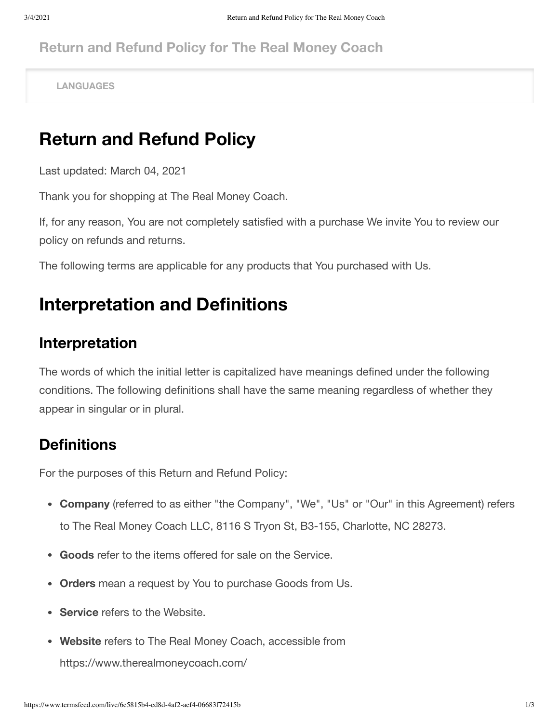#### **Return and Refund Policy for The Real Money Coach**

**LANGUAGES**

## **Return and Refund Policy**

Last updated: March 04, 2021

Thank you for shopping at The Real Money Coach.

If, for any reason, You are not completely satisfied with a purchase We invite You to review our policy on refunds and returns.

The following terms are applicable for any products that You purchased with Us.

### **Interpretation and Definitions**

#### **Interpretation**

The words of which the initial letter is capitalized have meanings defined under the following conditions. The following definitions shall have the same meaning regardless of whether they appear in singular or in plural.

#### **Definitions**

For the purposes of this Return and Refund Policy:

- **Company** (referred to as either "the Company", "We", "Us" or "Our" in this Agreement) refers to The Real Money Coach LLC, 8116 S Tryon St, B3-155, Charlotte, NC 28273.
- **Goods** refer to the items offered for sale on the Service.
- **Orders** mean a request by You to purchase Goods from Us.
- **Service** refers to the Website.
- **Website** refers to The Real Money Coach, accessible from

<https://www.therealmoneycoach.com/>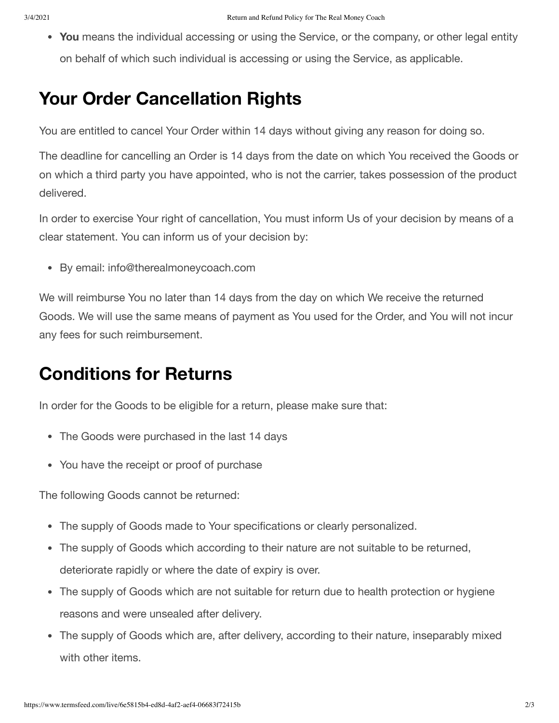**You** means the individual accessing or using the Service, or the company, or other legal entity on behalf of which such individual is accessing or using the Service, as applicable.

## **Your Order Cancellation Rights**

You are entitled to cancel Your Order within 14 days without giving any reason for doing so.

The deadline for cancelling an Order is 14 days from the date on which You received the Goods or on which a third party you have appointed, who is not the carrier, takes possession of the product delivered.

In order to exercise Your right of cancellation, You must inform Us of your decision by means of a clear statement. You can inform us of your decision by:

By email: info@therealmoneycoach.com

We will reimburse You no later than 14 days from the day on which We receive the returned Goods. We will use the same means of payment as You used for the Order, and You will not incur any fees for such reimbursement.

## **Conditions for Returns**

In order for the Goods to be eligible for a return, please make sure that:

- The Goods were purchased in the last 14 days
- You have the receipt or proof of purchase

The following Goods cannot be returned:

- The supply of Goods made to Your specifications or clearly personalized.
- The supply of Goods which according to their nature are not suitable to be returned, deteriorate rapidly or where the date of expiry is over.
- The supply of Goods which are not suitable for return due to health protection or hygiene reasons and were unsealed after delivery.
- The supply of Goods which are, after delivery, according to their nature, inseparably mixed with other items.